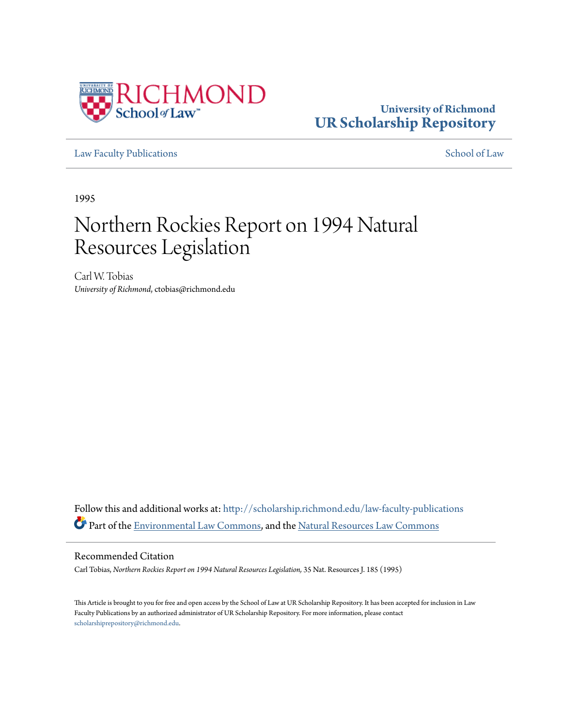

## **University of Richmond [UR Scholarship Repository](http://scholarship.richmond.edu?utm_source=scholarship.richmond.edu%2Flaw-faculty-publications%2F840&utm_medium=PDF&utm_campaign=PDFCoverPages)**

[Law Faculty Publications](http://scholarship.richmond.edu/law-faculty-publications?utm_source=scholarship.richmond.edu%2Flaw-faculty-publications%2F840&utm_medium=PDF&utm_campaign=PDFCoverPages) [School of Law](http://scholarship.richmond.edu/law?utm_source=scholarship.richmond.edu%2Flaw-faculty-publications%2F840&utm_medium=PDF&utm_campaign=PDFCoverPages)

1995

# Northern Rockies Report on 1994 Natural Resources Legislation

Carl W. Tobias *University of Richmond*, ctobias@richmond.edu

Follow this and additional works at: [http://scholarship.richmond.edu/law-faculty-publications](http://scholarship.richmond.edu/law-faculty-publications?utm_source=scholarship.richmond.edu%2Flaw-faculty-publications%2F840&utm_medium=PDF&utm_campaign=PDFCoverPages) Part of the [Environmental Law Commons](http://network.bepress.com/hgg/discipline/599?utm_source=scholarship.richmond.edu%2Flaw-faculty-publications%2F840&utm_medium=PDF&utm_campaign=PDFCoverPages), and the [Natural Resources Law Commons](http://network.bepress.com/hgg/discipline/863?utm_source=scholarship.richmond.edu%2Flaw-faculty-publications%2F840&utm_medium=PDF&utm_campaign=PDFCoverPages)

#### Recommended Citation

Carl Tobias, *Northern Rockies Report on 1994 Natural Resources Legislation,* 35 Nat. Resources J. 185 (1995)

This Article is brought to you for free and open access by the School of Law at UR Scholarship Repository. It has been accepted for inclusion in Law Faculty Publications by an authorized administrator of UR Scholarship Repository. For more information, please contact [scholarshiprepository@richmond.edu.](mailto:scholarshiprepository@richmond.edu)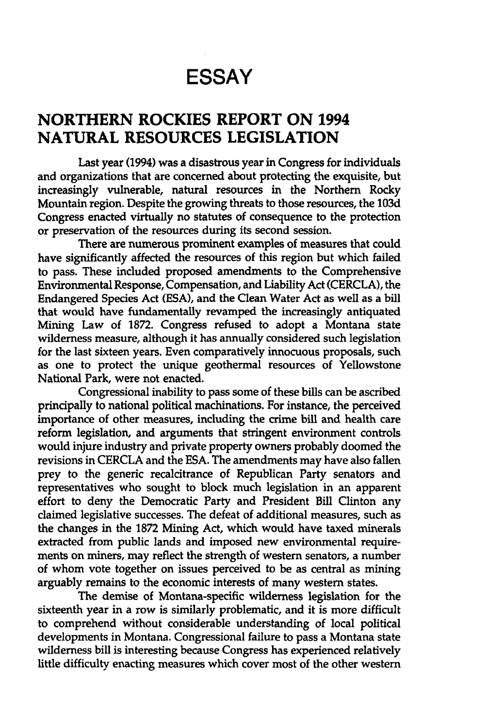## **ESSAY**

### **NORTHERN ROCKIES REPORT ON 1994 NATURAL RESOURCES LEGISLATION**

Last year (1994) was a disastrous year in Congress for individuals and organizations that are concerned about protecting the exquisite, but increasingly vulnerable, natural resources in the Northern Rocky Mountain region. Despite the growing threats to those resources, the 103d Congress enacted virtually no statutes of consequence to the protection or preservation of the resources during its second session.

There are numerous prominent examples of measures that could have significantly affected the resources of this region but which failed to pass. These included proposed amendments to the Comprehensive Environmental Response, Compensation, and Liability Act (CERCLA), the Endangered Species Act (ESA), and the Clean Water Act as well as a bill that would have fundamentally revamped the increasingly antiquated Mining Law of 1872. Congress refused to adopt a Montana state wilderness measure, although it has annually considered such legislation for the last sixteen years. Even comparatively innocuous proposals, such as one to protect the unique geothermal resources of Yellowstone National Park, were not enacted.

Congressional inability to pass some of these bills can be ascribed principally to national political machinations. For instance, the perceived importance of other measures, including the crime bill and health care reform legislation, and arguments that stringent environment controls would injure industry and private property owners probably doomed the revisions in CERCLA and the ESA. The amendments may have also fallen prey to the generic recalcitrance of Republican Party senators and representatives who sought to block much legislation in an apparent effort to deny the Democratic Party and President Bill Clinton any claimed legislative successes. The defeat of additional measures, such as the changes in the 1872 Mining Act, which would have taxed minerals extracted from public lands and imposed new environmental requirements on miners, may reflect the strength of western senators, a number of whom vote together on issues perceived to be as central as mining arguably remains to the economic interests of many western states.

The demise of Montana-specific wilderness legislation for the sixteenth year in a row is similarly problematic, and it is more difficult to comprehend without considerable understanding of local political developments in Montana. Congressional failure to pass a Montana state wilderness bill is interesting because Congress has experienced relatively little difficulty enacting measures which cover most of the other western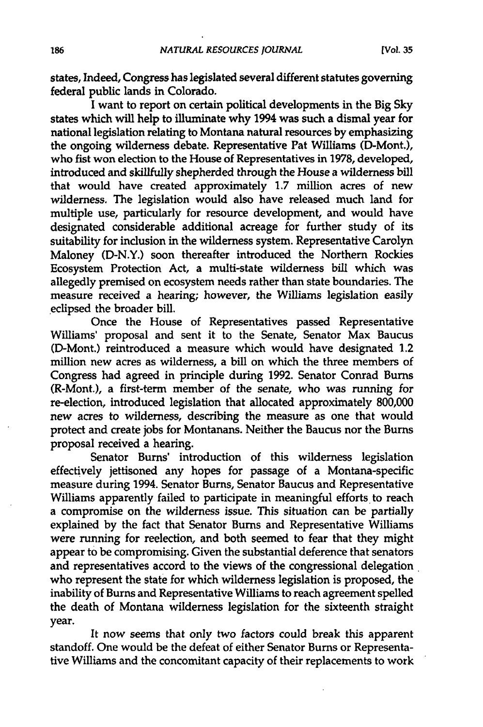states, Indeed, Congress has legislated several different statutes governing federal public lands in Colorado.

I want to report on certain political developments in the Big Sky states which will help to illuminate why 1994 was such a dismal year for national legislation relating to Montana natural resources by emphasizing the ongoing wilderness debate. Representative Pat Williams (D-Mont.), who fist won election to the House of Representatives in 1978, developed, introduced and skillfully shepherded through the House a wilderness bill that would have created approximately 1.7 million acres of new wilderness. The legislation would also have released much land for multiple use, particularly for resource development, and would have designated considerable additional acreage for further study of its suitability for inclusion in the wilderness system. Representative Carolyn Maloney (D-N.Y.) soon thereafter introduced the Northern Rockies Ecosystem Protection Act, a multi-state wilderness bill which was allegedly premised on ecosystem needs rather than state boundaries. The measure received a hearing; however, the Williams legislation easily .eclipsed the broader bill.

Once the House of Representatives passed Representative Williams' proposal and sent it to the Senate, Senator Max Baucus CD-Mont.) reintroduced a measure which would have designated 1.2 million new acres as wilderness, a bill on which the three members of Congress had agreed in principle during 1992. Senator Conrad Bums (R-Mont.), a first-term member of the senate, who was running for re-election, introduced legislation that allocated approximately 800,000 new acres to wilderness, describing the measure as one that would protect and create jobs for Montanans. Neither the Baucus nor the Burns proposal received a hearing.

Senator Bums' introduction of this wilderness legislation effectively jettisoned any hopes for passage of a Montana-specific measure during 1994. Senator Bums, Senator Baucus and Representative Williams apparently failed to participate in meaningful efforts to reach a compromise on the wilderness issue. This situation can be partially explained by the fact that Senator Burns and Representative Williams were running for reelection, and both seemed to fear that they might appear to be compromising. Given the substantial deference that senators and representatives accord to the views of the congressional delegation who represent the state for which wilderness legislation is proposed, the inability of Burns and Representative Williams to reach agreement spelled the death of Montana wilderness legislation for the sixteenth straight year.

It now seems that only two factors could break this apparent standoff. One would be the defeat of either Senator Bums or Representative Williams and the concomitant capacity of their replacements to work